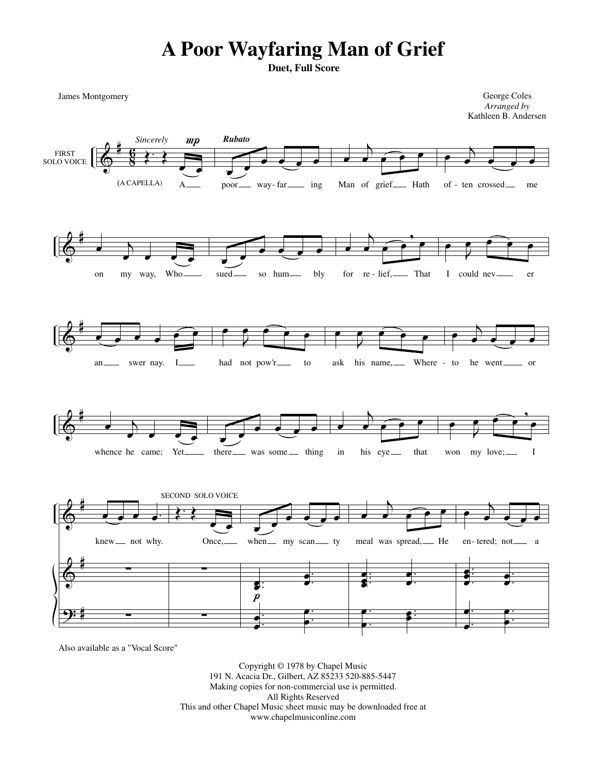## **A Poor Wayfaring Man of Grief**

**Duet, Full Score**

 $\pmb{\phi}$ # **6**<br>8  $6$   $\overrightarrow{ }$   $\overrightarrow{ }$  $mp$  $\overline{\cdot}$ A  $\overline{\bullet}$ œ  $\bullet$   $\bullet$   $\bullet$ poor — way-far — ing œ  $\overline{a}$  $\frac{1}{2}$   $\frac{1}{2}$ Man of grief Hath œ  $\overline{\mathcal{L}}$  $\overrightarrow{e}$ of - ten crossed - me  $\pmb{\phi}$ #  $\qquad \qquad$  $\overrightarrow{e}$ on my way, Who œ œ  $\bullet$   $\bullet$   $\bullet$ sued so hum bly œ  $\overline{b}$  $\rightarrow$ ,  $\overrightarrow{P}$ for re - lief, That œ J  $\overrightarrow{e}$ I could nev er  $\bm{\phi}$ #  $\bullet$   $\bullet$   $\bullet$  $\widehat{\phantom{a}}$ an \_\_\_\_\_ swer nay. I œ J  $\overrightarrow{e}$ had not pow'r\_\_\_\_ to œ J  $\overrightarrow{e}$ ask his name, Where - to œ  $\overline{b}$  $\bullet$   $\bullet$   $\bullet$ he went or  $\pmb{\phi}$ #  $\bullet$ œ œ œ œ whence he came; Yet œ œ  $\bullet$   $\bullet$   $\bullet$  $-$  there  $-$  was some  $-$  thing œ  $\overline{A}$  $\frac{1}{2}$  e  $\frac{1}{2}$ in his eye\_ that œ J  $\overline{\mathbf{e} \cdot \mathbf{e}}$ , œ won my love; I  $\pmb{\phi}$  $\pmb{\phi}$ <u>9:</u> # # #  $\bullet$   $\bullet$   $\bullet$   $\bullet$ knew \_\_ not why. ∑ ∑  $\overrightarrow{f}$  $\overline{a}$ Once, ∑ ∑ œ œ  $\bullet$   $\bullet$   $\bullet$ when  $\equiv$  my scan  $\equiv$  ty  $\boldsymbol{p}$ .  $\bullet$ : es L .  $\bullet$ . œ .  $\bullet$ : œ . .<br>.<br>. œ œ œ  $\overline{a}$  $\overrightarrow{r}$ meal was spread, He . . e:<br>S œ e<br>S .  $\bullet$ . œ . . œ œ  $\overline{\bullet}$ : œ. œ  $\overline{b}$  $\overrightarrow{e}$ en- tered; not \_\_\_\_\_ a . . ē. œ  $\bullet$  .  $\bullet$ . œ . œ.  $\bullet$  .  $\bullet$  . .<br>.<br>. œ œ George Coles *Arranged by* Kathleen B. Andersen James Montgomery FIRST SOLO VOICE *Sincerely* (A CAPELLA) *Rubato* SECOND SOLO VOICE

Also available as a "Vocal Score"

Copyright © 1978 by Chapel Music 191 N. Acacia Dr., Gilbert, AZ 85233 520-885-5447 Making copies for non-commercial use is permitted. All Rights Reserved This and other Chapel Music sheet music may be downloaded free at www.chapelmusiconline.com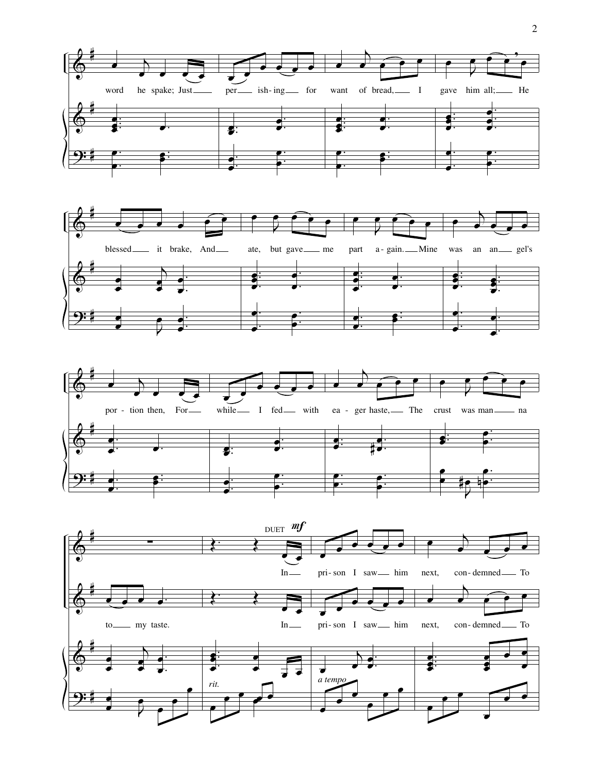





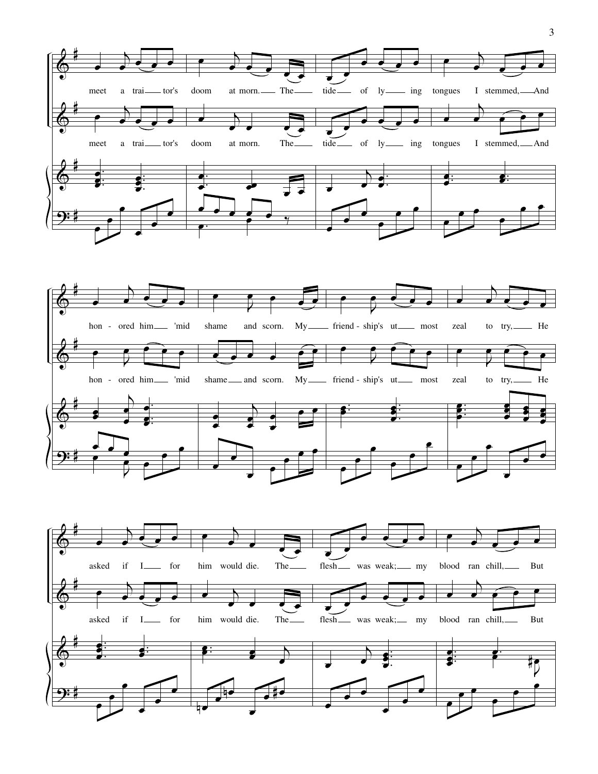



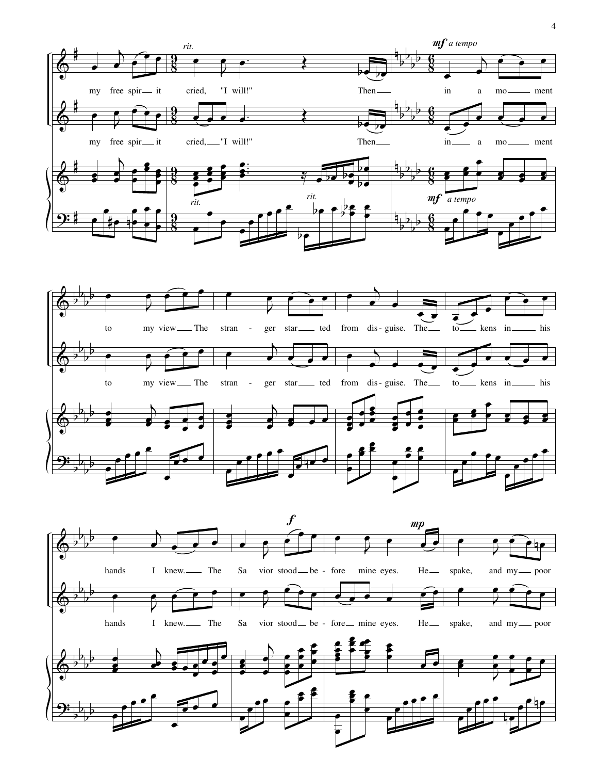